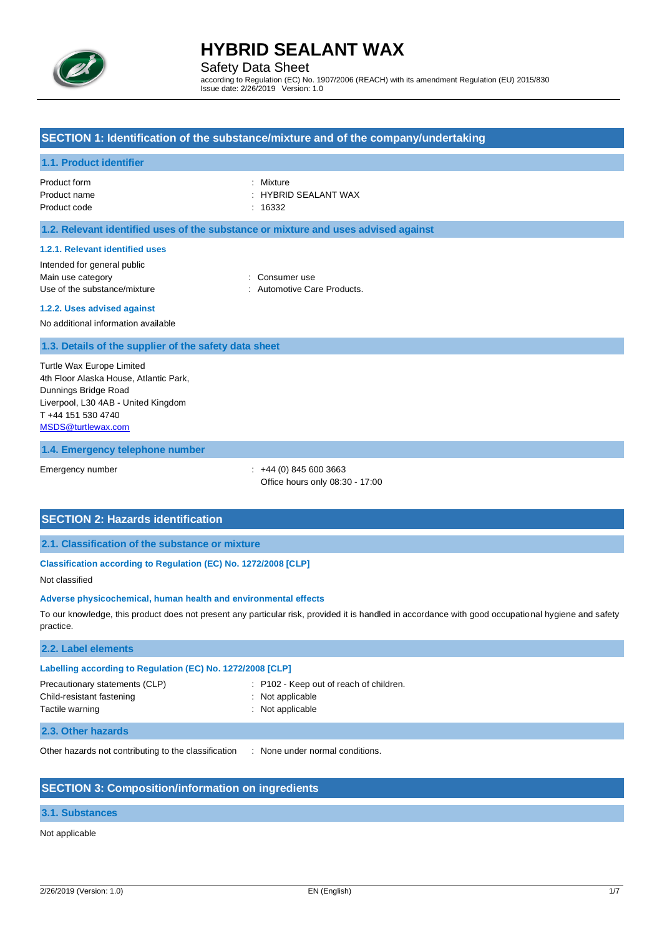

Safety Data Sheet

according to Regulation (EC) No. 1907/2006 (REACH) with its amendment Regulation (EU) 2015/830 Issue date: 2/26/2019 Version: 1.0

### **SECTION 1: Identification of the substance/mixture and of the company/undertaking**

#### **1.1. Product identifier**

Product form : Nixture : Mixture Product name  $\qquad \qquad :$  HYBRID SEALANT WAX Product code : 16332

## **1.2. Relevant identified uses of the substance or mixture and uses advised against**

#### **1.2.1. Relevant identified uses**

Intended for general public Main use category **Example 20** and 20 and 20 and 20 and 20 and 20 and 20 and 20 and 20 and 20 and 20 and 20 and 20 and 20 and 20 and 20 and 20 and 20 and 20 and 20 and 20 and 20 and 20 and 20 and 20 and 20 and 20 and 20 an Use of the substance/mixture in the substance/mixture in the substance of the substance of  $\sim$  2011.

**1.2.2. Uses advised against**

## No additional information available

**1.3. Details of the supplier of the safety data sheet**

Turtle Wax Europe Limited 4th Floor Alaska House, Atlantic Park, Dunnings Bridge Road Liverpool, L30 4AB - United Kingdom T +44 151 530 4740 [MSDS@turtlewax.com](mailto:MSDS@turtlewax.com)

#### **1.4. Emergency telephone number**

Emergency number : +44 (0) 845 600 3663 Office hours only 08:30 - 17:00

## **SECTION 2: Hazards identification**

**2.1. Classification of the substance or mixture**

#### **Classification according to Regulation (EC) No. 1272/2008 [CLP]**

Not classified

#### **Adverse physicochemical, human health and environmental effects**

To our knowledge, this product does not present any particular risk, provided it is handled in accordance with good occupational hygiene and safety practice.

: P102 - Keep out of reach of children.

#### **2.2. Label elements**

#### **Labelling according to Regulation (EC) No. 1272/2008 [CLP]**

| Precautionary statements (CLP) |
|--------------------------------|
| Child-resistant fastening      |
| Tactile warning                |

: Not applicable

: Not applicable

#### **2.3. Other hazards**

Other hazards not contributing to the classification : None under normal conditions.

## **SECTION 3: Composition/information on ingredients**

### **3.1. Substances**

Not applicable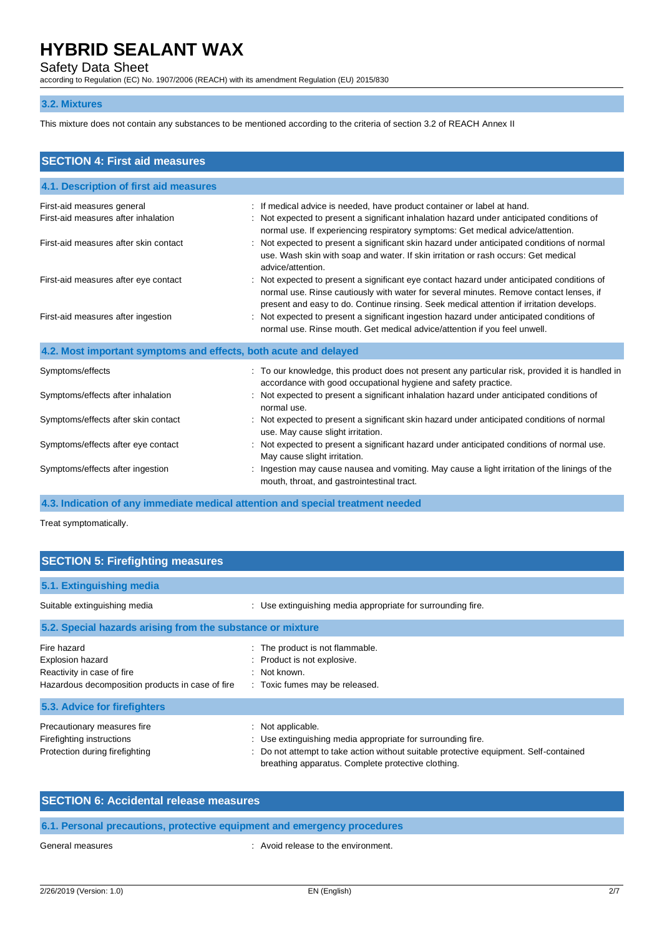Safety Data Sheet

according to Regulation (EC) No. 1907/2006 (REACH) with its amendment Regulation (EU) 2015/830

#### **3.2. Mixtures**

This mixture does not contain any substances to be mentioned according to the criteria of section 3.2 of REACH Annex II

| <b>SECTION 4: First aid measures</b>                              |                                                                                                                                                                                                                                                                                  |  |  |  |
|-------------------------------------------------------------------|----------------------------------------------------------------------------------------------------------------------------------------------------------------------------------------------------------------------------------------------------------------------------------|--|--|--|
| 4.1. Description of first aid measures                            |                                                                                                                                                                                                                                                                                  |  |  |  |
| First-aid measures general<br>First-aid measures after inhalation | : If medical advice is needed, have product container or label at hand.<br>Not expected to present a significant inhalation hazard under anticipated conditions of<br>normal use. If experiencing respiratory symptoms: Get medical advice/attention.                            |  |  |  |
| First-aid measures after skin contact                             | : Not expected to present a significant skin hazard under anticipated conditions of normal<br>use. Wash skin with soap and water. If skin irritation or rash occurs: Get medical<br>advice/attention.                                                                            |  |  |  |
| First-aid measures after eye contact                              | : Not expected to present a significant eye contact hazard under anticipated conditions of<br>normal use. Rinse cautiously with water for several minutes. Remove contact lenses, if<br>present and easy to do. Continue rinsing. Seek medical attention if irritation develops. |  |  |  |
| First-aid measures after ingestion                                | : Not expected to present a significant ingestion hazard under anticipated conditions of<br>normal use. Rinse mouth. Get medical advice/attention if you feel unwell.                                                                                                            |  |  |  |
| 4.2. Most important symptoms and effects, both acute and delayed  |                                                                                                                                                                                                                                                                                  |  |  |  |
| Symptoms/effects                                                  | : To our knowledge, this product does not present any particular risk, provided it is handled in<br>accordance with good occupational hygiene and safety practice.                                                                                                               |  |  |  |
| Symptoms/effects after inhalation                                 | : Not expected to present a significant inhalation hazard under anticipated conditions of<br>normal use.                                                                                                                                                                         |  |  |  |
| Symptoms/effects after skin contact                               | : Not expected to present a significant skin hazard under anticipated conditions of normal<br>use. May cause slight irritation.                                                                                                                                                  |  |  |  |
| Symptoms/effects after eye contact                                | : Not expected to present a significant hazard under anticipated conditions of normal use.<br>May cause slight irritation.                                                                                                                                                       |  |  |  |
| Symptoms/effects after ingestion                                  | Ingestion may cause nausea and vomiting. May cause a light irritation of the linings of the<br>mouth, throat, and gastrointestinal tract.                                                                                                                                        |  |  |  |

**4.3. Indication of any immediate medical attention and special treatment needed**

Treat symptomatically.

| <b>SECTION 5: Firefighting measures</b>                                                                                  |                                                                                                                                                                                                                             |  |  |
|--------------------------------------------------------------------------------------------------------------------------|-----------------------------------------------------------------------------------------------------------------------------------------------------------------------------------------------------------------------------|--|--|
| 5.1. Extinguishing media                                                                                                 |                                                                                                                                                                                                                             |  |  |
| Suitable extinguishing media                                                                                             | : Use extinguishing media appropriate for surrounding fire.                                                                                                                                                                 |  |  |
| 5.2. Special hazards arising from the substance or mixture                                                               |                                                                                                                                                                                                                             |  |  |
| Fire hazard<br><b>Explosion hazard</b><br>Reactivity in case of fire<br>Hazardous decomposition products in case of fire | : The product is not flammable.<br>: Product is not explosive.<br>: Not known.<br>: Toxic fumes may be released.                                                                                                            |  |  |
| 5.3. Advice for firefighters                                                                                             |                                                                                                                                                                                                                             |  |  |
| Precautionary measures fire<br>Firefighting instructions<br>Protection during firefighting                               | : Not applicable.<br>Use extinguishing media appropriate for surrounding fire.<br>Do not attempt to take action without suitable protective equipment. Self-contained<br>breathing apparatus. Complete protective clothing. |  |  |

| <b>SECTION 6: Accidental release measures</b>                            |                                     |  |  |
|--------------------------------------------------------------------------|-------------------------------------|--|--|
| 6.1. Personal precautions, protective equipment and emergency procedures |                                     |  |  |
| General measures                                                         | : Avoid release to the environment. |  |  |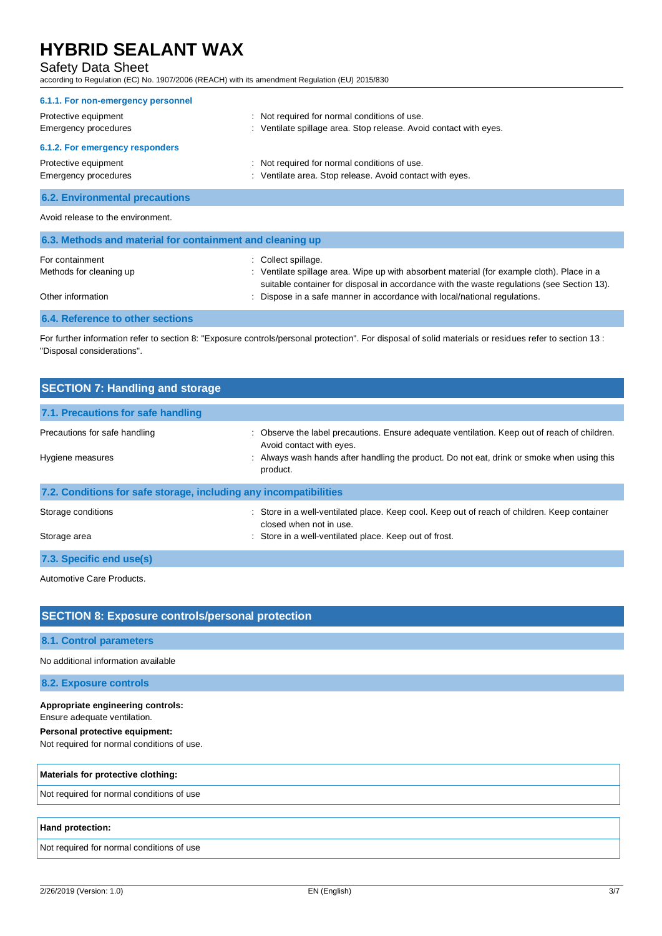## Safety Data Sheet

according to Regulation (EC) No. 1907/2006 (REACH) with its amendment Regulation (EU) 2015/830

| 6.1.1. For non-emergency personnel           |                                                                                                                   |
|----------------------------------------------|-------------------------------------------------------------------------------------------------------------------|
| Protective equipment<br>Emergency procedures | : Not required for normal conditions of use.<br>: Ventilate spillage area. Stop release. Avoid contact with eyes. |
| 6.1.2. For emergency responders              |                                                                                                                   |
| Protective equipment<br>Emergency procedures | : Not required for normal conditions of use.<br>: Ventilate area. Stop release. Avoid contact with eyes.          |
| <b>6.2. Environmental precautions</b>        |                                                                                                                   |
|                                              |                                                                                                                   |

#### Avoid release to the environment.

| 6.3. Methods and material for containment and cleaning up |                                                                                                                                                                                          |  |  |
|-----------------------------------------------------------|------------------------------------------------------------------------------------------------------------------------------------------------------------------------------------------|--|--|
| For containment                                           | $\therefore$ Collect spillage.                                                                                                                                                           |  |  |
| Methods for cleaning up                                   | : Ventilate spillage area. Wipe up with absorbent material (for example cloth). Place in a<br>suitable container for disposal in accordance with the waste regulations (see Section 13). |  |  |
| Other information                                         | : Dispose in a safe manner in accordance with local/national regulations.                                                                                                                |  |  |
| <b>6.4. Reference to other sections</b>                   |                                                                                                                                                                                          |  |  |

For further information refer to section 8: "Exposure controls/personal protection". For disposal of solid materials or residues refer to section 13 : "Disposal considerations".

| <b>SECTION 7: Handling and storage</b>                            |                                                                                                                          |  |  |
|-------------------------------------------------------------------|--------------------------------------------------------------------------------------------------------------------------|--|--|
| 7.1. Precautions for safe handling                                |                                                                                                                          |  |  |
| Precautions for safe handling                                     | : Observe the label precautions. Ensure adequate ventilation. Keep out of reach of children.<br>Avoid contact with eyes. |  |  |
| Hygiene measures                                                  | : Always wash hands after handling the product. Do not eat, drink or smoke when using this<br>product.                   |  |  |
| 7.2. Conditions for safe storage, including any incompatibilities |                                                                                                                          |  |  |
| Storage conditions                                                | : Store in a well-ventilated place. Keep cool. Keep out of reach of children. Keep container<br>closed when not in use.  |  |  |
| Storage area                                                      | : Store in a well-ventilated place. Keep out of frost.                                                                   |  |  |
| 7.3. Specific end use(s)                                          |                                                                                                                          |  |  |

Automotive Care Products.

## **SECTION 8: Exposure controls/personal protection**

**8.1. Control parameters**

No additional information available

#### **8.2. Exposure controls**

#### **Appropriate engineering controls:**

Ensure adequate ventilation.

**Personal protective equipment:**

Not required for normal conditions of use.

#### **Materials for protective clothing:**

Not required for normal conditions of use

#### **Hand protection:**

Not required for normal conditions of use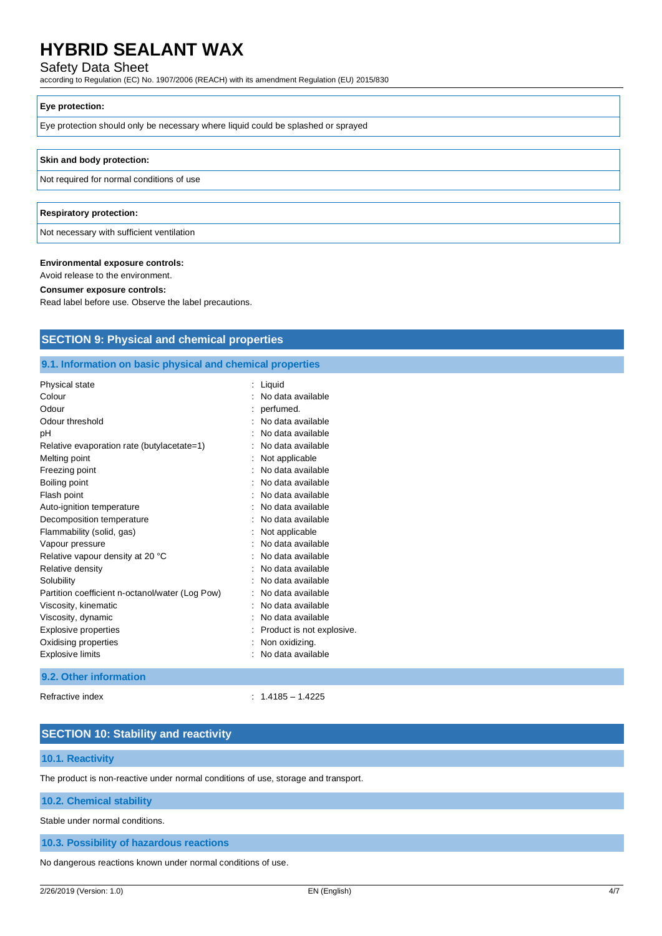## Safety Data Sheet

according to Regulation (EC) No. 1907/2006 (REACH) with its amendment Regulation (EU) 2015/830

#### **Eye protection:**

Eye protection should only be necessary where liquid could be splashed or sprayed

#### **Skin and body protection:**

Not required for normal conditions of use

#### **Respiratory protection:**

Not necessary with sufficient ventilation

#### **Environmental exposure controls:**

Avoid release to the environment.

#### **Consumer exposure controls:**

Read label before use. Observe the label precautions.

## **SECTION 9: Physical and chemical properties**

#### **9.1. Information on basic physical and chemical properties**

| Physical state                                  | Liquid                    |  |
|-------------------------------------------------|---------------------------|--|
| Colour                                          | No data available         |  |
| Odour                                           | perfumed.                 |  |
| Odour threshold                                 | No data available         |  |
| рH                                              | No data available         |  |
| Relative evaporation rate (butylacetate=1)      | No data available         |  |
| Melting point                                   | Not applicable            |  |
| Freezing point                                  | No data available         |  |
| Boiling point                                   | No data available         |  |
| Flash point                                     | No data available         |  |
| Auto-ignition temperature                       | No data available         |  |
| Decomposition temperature                       | No data available         |  |
| Flammability (solid, gas)                       | Not applicable            |  |
| Vapour pressure                                 | No data available         |  |
| Relative vapour density at 20 °C                | No data available         |  |
| Relative density                                | No data available         |  |
| Solubility                                      | No data available         |  |
| Partition coefficient n-octanol/water (Log Pow) | No data available         |  |
| Viscosity, kinematic                            | No data available         |  |
| Viscosity, dynamic                              | No data available         |  |
| <b>Explosive properties</b>                     | Product is not explosive. |  |
| Oxidising properties                            | Non oxidizing.            |  |
| <b>Explosive limits</b>                         | No data available         |  |

### **9.2. Other information**

Refractive index : 1.4185 – 1.4225

## **SECTION 10: Stability and reactivity**

#### **10.1. Reactivity**

The product is non-reactive under normal conditions of use, storage and transport.

#### **10.2. Chemical stability**

Stable under normal conditions.

#### **10.3. Possibility of hazardous reactions**

No dangerous reactions known under normal conditions of use.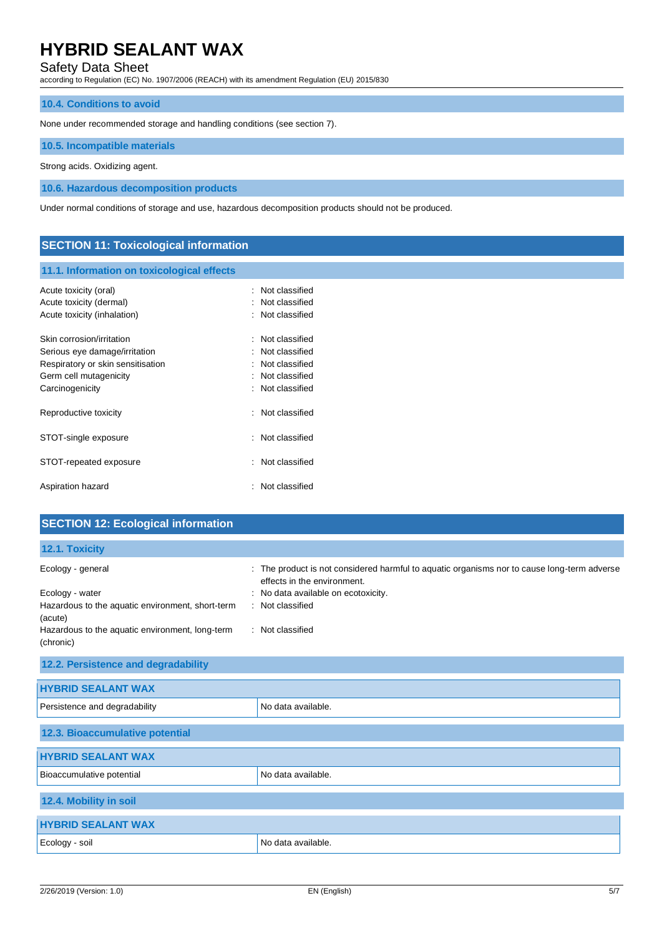## Safety Data Sheet

according to Regulation (EC) No. 1907/2006 (REACH) with its amendment Regulation (EU) 2015/830

#### **10.4. Conditions to avoid**

None under recommended storage and handling conditions (see section 7).

#### **10.5. Incompatible materials**

Strong acids. Oxidizing agent.

**10.6. Hazardous decomposition products**

Under normal conditions of storage and use, hazardous decomposition products should not be produced.

## **SECTION 11: Toxicological information**

#### **11.1. Information on toxicological effects**

| Acute toxicity (oral)<br>Acute toxicity (dermal)<br>Acute toxicity (inhalation)                                                              | ٠ | Not classified<br>Not classified<br>Not classified                                     |
|----------------------------------------------------------------------------------------------------------------------------------------------|---|----------------------------------------------------------------------------------------|
| Skin corrosion/irritation<br>Serious eye damage/irritation<br>Respiratory or skin sensitisation<br>Germ cell mutagenicity<br>Carcinogenicity |   | Not classified<br>Not classified<br>Not classified<br>Not classified<br>Not classified |
| Reproductive toxicity                                                                                                                        |   | : Not classified                                                                       |
| STOT-single exposure                                                                                                                         |   | $\therefore$ Not classified                                                            |
| STOT-repeated exposure                                                                                                                       |   | Not classified                                                                         |
| Aspiration hazard                                                                                                                            |   | Not classified                                                                         |

## **SECTION 12: Ecological information**

**12.1. Toxicity**

| Ecology - general<br>÷                                              | The product is not considered harmful to aquatic organisms nor to cause long-term adverse<br>effects in the environment. |
|---------------------------------------------------------------------|--------------------------------------------------------------------------------------------------------------------------|
| Ecology - water<br>Hazardous to the aquatic environment, short-term | : No data available on ecotoxicity.<br>: Not classified                                                                  |
| (acute)<br>Hazardous to the aquatic environment, long-term          | : Not classified                                                                                                         |
| (chronic)                                                           |                                                                                                                          |
| 12.2. Persistence and degradability                                 |                                                                                                                          |
| <b>HYBRID SEALANT WAX</b>                                           |                                                                                                                          |
| Persistence and degradability                                       | No data available.                                                                                                       |
| 12.3. Bioaccumulative potential                                     |                                                                                                                          |
| <b>HYBRID SEALANT WAX</b>                                           |                                                                                                                          |
| Bioaccumulative potential                                           | No data available.                                                                                                       |
| 12.4. Mobility in soil                                              |                                                                                                                          |
| <b>HYBRID SEALANT WAX</b>                                           |                                                                                                                          |
| Ecology - soil                                                      | No data available.                                                                                                       |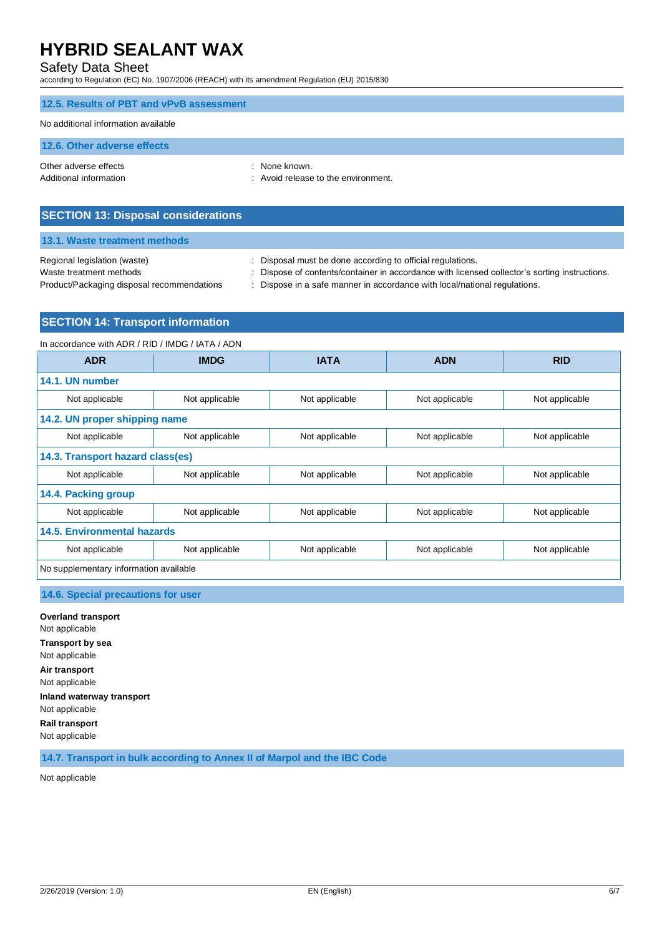## Safety Data Sheet

according to Regulation (EC) No. 1907/2006 (REACH) with its amendment Regulation (EU) 2015/830

| 12.5. Results of PBT and vPvB assessment        |                                                      |
|-------------------------------------------------|------------------------------------------------------|
| No additional information available             |                                                      |
| 12.6. Other adverse effects                     |                                                      |
| Other adverse effects<br>Additional information | : None known.<br>: Avoid release to the environment. |

| <b>SECTION 13: Disposal considerations</b> |  |  |  |
|--------------------------------------------|--|--|--|
|--------------------------------------------|--|--|--|

### **13.1. Waste treatment methods**

| Regional legislation (waste)               | : Disposal must be done according to official regulations.                                    |
|--------------------------------------------|-----------------------------------------------------------------------------------------------|
| Waste treatment methods                    | . Dispose of contents/container in accordance with licensed collector's sorting instructions. |
| Product/Packaging disposal recommendations | Dispose in a safe manner in accordance with local/national regulations.                       |
|                                            |                                                                                               |

## **SECTION 14: Transport information**

In accordance with ADR / RID / IMDG / IATA / ADN

| <b>ADR</b>                             | <b>IMDG</b>    | <b>IATA</b>    | <b>ADN</b>     | <b>RID</b>     |  |  |
|----------------------------------------|----------------|----------------|----------------|----------------|--|--|
| 14.1. UN number                        |                |                |                |                |  |  |
| Not applicable                         | Not applicable | Not applicable | Not applicable | Not applicable |  |  |
| 14.2. UN proper shipping name          |                |                |                |                |  |  |
| Not applicable                         | Not applicable | Not applicable | Not applicable | Not applicable |  |  |
| 14.3. Transport hazard class(es)       |                |                |                |                |  |  |
| Not applicable                         | Not applicable | Not applicable | Not applicable | Not applicable |  |  |
| 14.4. Packing group                    |                |                |                |                |  |  |
| Not applicable                         | Not applicable | Not applicable | Not applicable | Not applicable |  |  |
| 14.5. Environmental hazards            |                |                |                |                |  |  |
| Not applicable                         | Not applicable | Not applicable | Not applicable | Not applicable |  |  |
| No supplementary information available |                |                |                |                |  |  |

## **14.6. Special precautions for user**

**Overland transport** Not applicable **Transport by sea** Not applicable **Air transport** Not applicable **Inland waterway transport** Not applicable **Rail transport** Not applicable

**14.7. Transport in bulk according to Annex II of Marpol and the IBC Code**

Not applicable